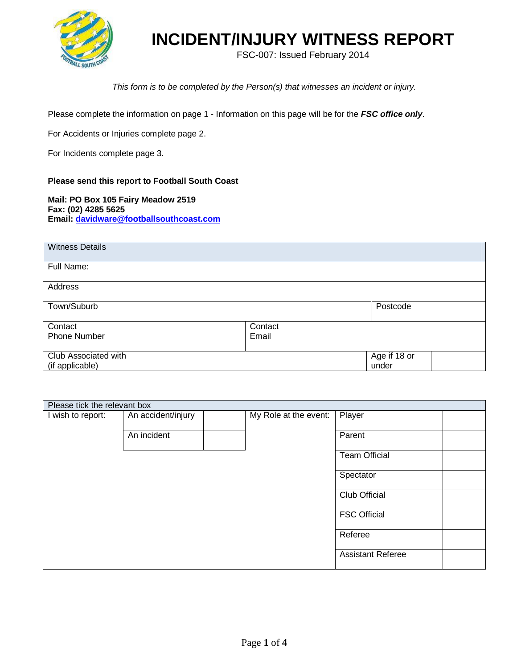

FSC-007: Issued February 2014

*This form is to be completed by the Person(s) that witnesses an incident or injury.*

Please complete the information on page 1 - Information on this page will be for the *FSC office only*.

For Accidents or Injuries complete page 2.

For Incidents complete page 3.

#### **Please send this report to Football South Coast**

**Mail: PO Box 105 Fairy Meadow 2519 Fax: (02) 4285 5625 Email: [davidware@footballsouthcoast.com](mailto:davidware@footballsouthcoast.com)**

| <b>Witness Details</b> |         |              |
|------------------------|---------|--------------|
|                        |         |              |
| Full Name:             |         |              |
|                        |         |              |
| Address                |         |              |
|                        |         |              |
| Town/Suburb            |         | Postcode     |
|                        |         |              |
|                        |         |              |
| Contact                | Contact |              |
| <b>Phone Number</b>    | Email   |              |
|                        |         |              |
| Club Associated with   |         | Age if 18 or |
| (if applicable)        |         | under        |
|                        |         |              |

| Please tick the relevant box |                    |                       |                          |
|------------------------------|--------------------|-----------------------|--------------------------|
| I wish to report:            | An accident/injury | My Role at the event: | Player                   |
|                              | An incident        |                       | Parent                   |
|                              |                    |                       | <b>Team Official</b>     |
|                              |                    |                       | Spectator                |
|                              |                    |                       | <b>Club Official</b>     |
|                              |                    |                       | <b>FSC Official</b>      |
|                              |                    |                       | Referee                  |
|                              |                    |                       | <b>Assistant Referee</b> |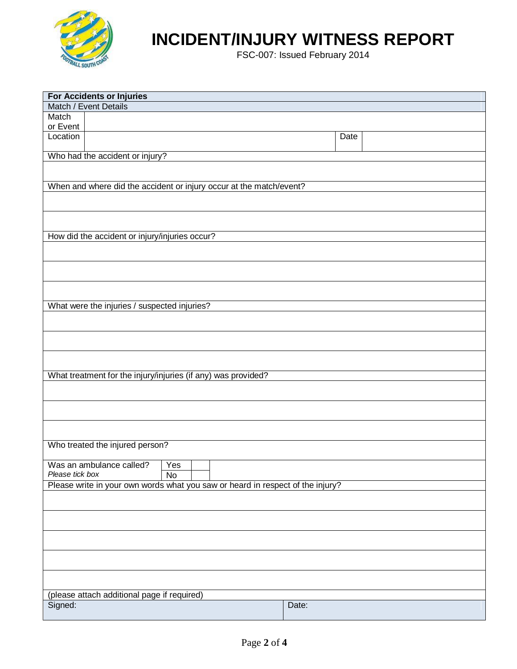

FSC-007: Issued February 2014

|                   | For Accidents or Injuries                                                      |           |       |      |
|-------------------|--------------------------------------------------------------------------------|-----------|-------|------|
|                   | Match / Event Details                                                          |           |       |      |
| Match<br>or Event |                                                                                |           |       |      |
| Location          |                                                                                |           |       | Date |
|                   | Who had the accident or injury?                                                |           |       |      |
|                   |                                                                                |           |       |      |
|                   | When and where did the accident or injury occur at the match/event?            |           |       |      |
|                   |                                                                                |           |       |      |
|                   |                                                                                |           |       |      |
|                   | How did the accident or injury/injuries occur?                                 |           |       |      |
|                   |                                                                                |           |       |      |
|                   |                                                                                |           |       |      |
|                   |                                                                                |           |       |      |
|                   | What were the injuries / suspected injuries?                                   |           |       |      |
|                   |                                                                                |           |       |      |
|                   |                                                                                |           |       |      |
|                   |                                                                                |           |       |      |
|                   | What treatment for the injury/injuries (if any) was provided?                  |           |       |      |
|                   |                                                                                |           |       |      |
|                   |                                                                                |           |       |      |
|                   |                                                                                |           |       |      |
|                   | Who treated the injured person?                                                |           |       |      |
| Please tick box   | Was an ambulance called?                                                       | Yes<br>No |       |      |
|                   | Please write in your own words what you saw or heard in respect of the injury? |           |       |      |
|                   |                                                                                |           |       |      |
|                   |                                                                                |           |       |      |
|                   |                                                                                |           |       |      |
|                   |                                                                                |           |       |      |
|                   |                                                                                |           |       |      |
|                   | (please attach additional page if required)                                    |           |       |      |
| Signed:           |                                                                                |           | Date: |      |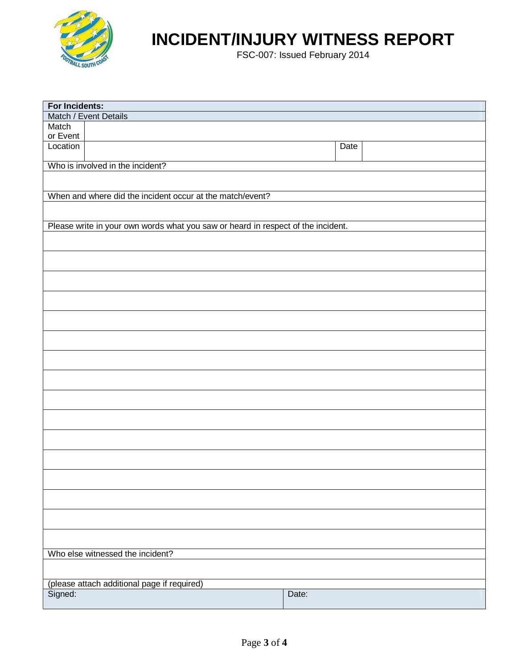

FSC-007: Issued February 2014

| For Incidents: |                                                                                  |             |  |
|----------------|----------------------------------------------------------------------------------|-------------|--|
|                | Match / Event Details                                                            |             |  |
| Match          |                                                                                  |             |  |
| or Event       |                                                                                  |             |  |
| Location       |                                                                                  | <b>Date</b> |  |
|                | Who is involved in the incident?                                                 |             |  |
|                |                                                                                  |             |  |
|                |                                                                                  |             |  |
|                | When and where did the incident occur at the match/event?                        |             |  |
|                |                                                                                  |             |  |
|                |                                                                                  |             |  |
|                | Please write in your own words what you saw or heard in respect of the incident. |             |  |
|                |                                                                                  |             |  |
|                |                                                                                  |             |  |
|                |                                                                                  |             |  |
|                |                                                                                  |             |  |
|                |                                                                                  |             |  |
|                |                                                                                  |             |  |
|                |                                                                                  |             |  |
|                |                                                                                  |             |  |
|                |                                                                                  |             |  |
|                |                                                                                  |             |  |
|                |                                                                                  |             |  |
|                |                                                                                  |             |  |
|                |                                                                                  |             |  |
|                |                                                                                  |             |  |
|                |                                                                                  |             |  |
|                |                                                                                  |             |  |
|                |                                                                                  |             |  |
|                |                                                                                  |             |  |
|                |                                                                                  |             |  |
|                |                                                                                  |             |  |
|                |                                                                                  |             |  |
|                | Who else witnessed the incident?                                                 |             |  |
|                |                                                                                  |             |  |
|                | (please attach additional page if required)                                      |             |  |
| Signed:        |                                                                                  | Date:       |  |
|                |                                                                                  |             |  |